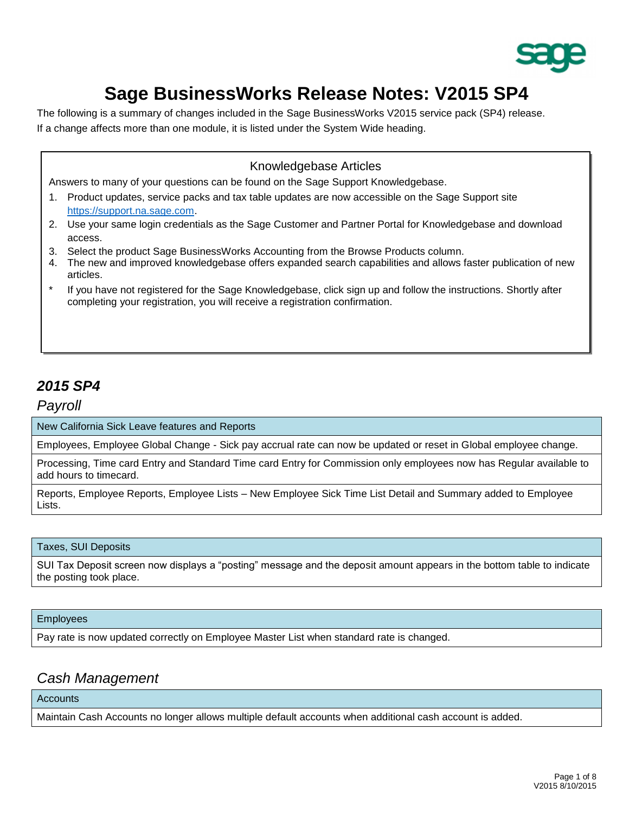

# **Sage BusinessWorks Release Notes: V2015 SP4**

The following is a summary of changes included in the Sage BusinessWorks V2015 service pack (SP4) release. If a change affects more than one module, it is listed under the System Wide heading.

### Knowledgebase Articles

Answers to many of your questions can be found on the Sage Support Knowledgebase.

- 1. Product updates, service packs and tax table updates are now accessible on the Sage Support site [https://support.na.sage.com.](https://support.na.sage.com/)
- 2. Use your same login credentials as the Sage Customer and Partner Portal for Knowledgebase and download access.
- 3. Select the product Sage BusinessWorks Accounting from the Browse Products column.
- 4. The new and improved knowledgebase offers expanded search capabilities and allows faster publication of new articles.
- If you have not registered for the Sage Knowledgebase, click sign up and follow the instructions. Shortly after completing your registration, you will receive a registration confirmation.

## *2015 SP4*

*Payroll*

New California Sick Leave features and Reports

Employees, Employee Global Change - Sick pay accrual rate can now be updated or reset in Global employee change.

Processing, Time card Entry and Standard Time card Entry for Commission only employees now has Regular available to add hours to timecard.

Reports, Employee Reports, Employee Lists – New Employee Sick Time List Detail and Summary added to Employee Lists.

#### Taxes, SUI Deposits

SUI Tax Deposit screen now displays a "posting" message and the deposit amount appears in the bottom table to indicate the posting took place.

#### Employees

Pay rate is now updated correctly on Employee Master List when standard rate is changed.

### *Cash Management*

**Accounts** 

Maintain Cash Accounts no longer allows multiple default accounts when additional cash account is added.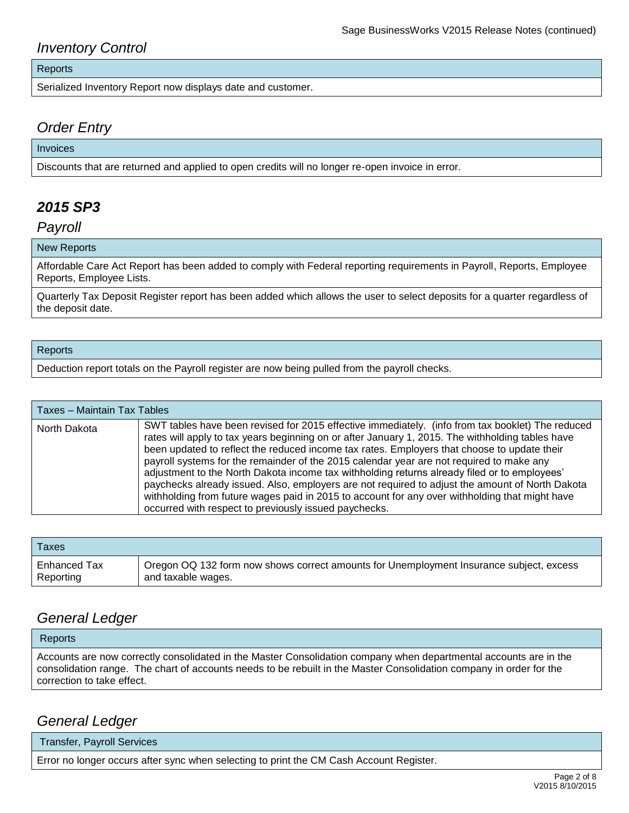## *Inventory Control*

#### Reports

Serialized Inventory Report now displays date and customer.

### *Order Entry*

#### Invoices

Discounts that are returned and applied to open credits will no longer re-open invoice in error.

## *2015 SP3*

*Payroll*

#### New Reports

Affordable Care Act Report has been added to comply with Federal reporting requirements in Payroll, Reports, Employee Reports, Employee Lists.

Quarterly Tax Deposit Register report has been added which allows the user to select deposits for a quarter regardless of the deposit date.

#### Reports

Deduction report totals on the Payroll register are now being pulled from the payroll checks.

| Taxes - Maintain Tax Tables |                                                                                                                                                                                                                                                                                                                                                                                                                                                                                                                                                                                                                                                                                                                                                               |
|-----------------------------|---------------------------------------------------------------------------------------------------------------------------------------------------------------------------------------------------------------------------------------------------------------------------------------------------------------------------------------------------------------------------------------------------------------------------------------------------------------------------------------------------------------------------------------------------------------------------------------------------------------------------------------------------------------------------------------------------------------------------------------------------------------|
| North Dakota                | SWT tables have been revised for 2015 effective immediately. (info from tax booklet) The reduced<br>rates will apply to tax years beginning on or after January 1, 2015. The withholding tables have<br>been updated to reflect the reduced income tax rates. Employers that choose to update their<br>payroll systems for the remainder of the 2015 calendar year are not required to make any<br>adjustment to the North Dakota income tax withholding returns already filed or to employees'<br>paychecks already issued. Also, employers are not required to adjust the amount of North Dakota<br>withholding from future wages paid in 2015 to account for any over withholding that might have<br>occurred with respect to previously issued paychecks. |

| <b>Taxes</b> |                                                                                         |
|--------------|-----------------------------------------------------------------------------------------|
| Enhanced Tax | Oregon OQ 132 form now shows correct amounts for Unemployment Insurance subject, excess |
| Reporting    | and taxable wages.                                                                      |

## *General Ledger*

| Reports                                                                                                             |  |
|---------------------------------------------------------------------------------------------------------------------|--|
| Accounts are now correctly consolidated in the Master Consolidation company when departmental accounts are in the   |  |
| consolidation range. The chart of accounts needs to be rebuilt in the Master Consolidation company in order for the |  |
| correction to take effect.                                                                                          |  |

### *General Ledger*

Transfer, Payroll Services

Error no longer occurs after sync when selecting to print the CM Cash Account Register.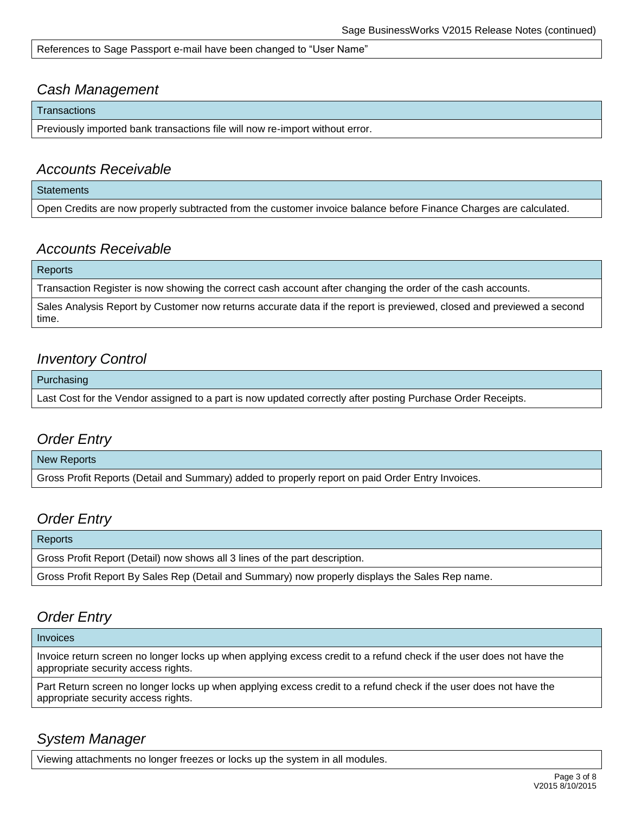References to Sage Passport e-mail have been changed to "User Name"

### *Cash Management*

**Transactions** 

Previously imported bank transactions file will now re-import without error.

### *Accounts Receivable*

**Statements** 

Open Credits are now properly subtracted from the customer invoice balance before Finance Charges are calculated.

### *Accounts Receivable*

#### Reports

Transaction Register is now showing the correct cash account after changing the order of the cash accounts.

Sales Analysis Report by Customer now returns accurate data if the report is previewed, closed and previewed a second time.

## *Inventory Control*

Purchasing

Last Cost for the Vendor assigned to a part is now updated correctly after posting Purchase Order Receipts.

### *Order Entry*

#### New Reports

Gross Profit Reports (Detail and Summary) added to properly report on paid Order Entry Invoices.

## *Order Entry*

**Reports** Gross Profit Report (Detail) now shows all 3 lines of the part description. Gross Profit Report By Sales Rep (Detail and Summary) now properly displays the Sales Rep name.

## *Order Entry*

#### Invoices

Invoice return screen no longer locks up when applying excess credit to a refund check if the user does not have the appropriate security access rights.

Part Return screen no longer locks up when applying excess credit to a refund check if the user does not have the appropriate security access rights.

## *System Manager*

Viewing attachments no longer freezes or locks up the system in all modules.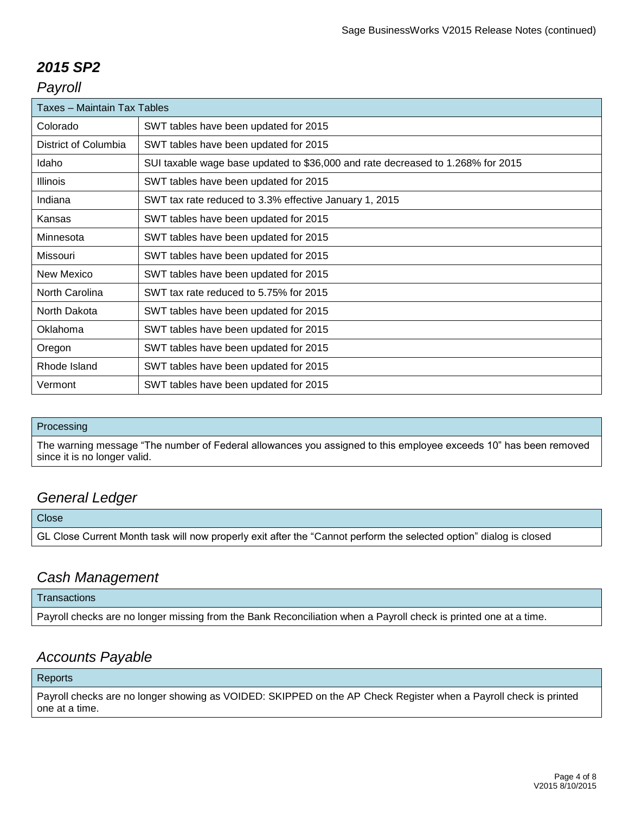## *2015 SP2*

## *Payroll*

| <b>Taxes - Maintain Tax Tables</b> |                                                                                 |  |
|------------------------------------|---------------------------------------------------------------------------------|--|
| Colorado                           | SWT tables have been updated for 2015                                           |  |
| District of Columbia               | SWT tables have been updated for 2015                                           |  |
| Idaho                              | SUI taxable wage base updated to \$36,000 and rate decreased to 1.268% for 2015 |  |
| <b>Illinois</b>                    | SWT tables have been updated for 2015                                           |  |
| Indiana                            | SWT tax rate reduced to 3.3% effective January 1, 2015                          |  |
| Kansas                             | SWT tables have been updated for 2015                                           |  |
| Minnesota                          | SWT tables have been updated for 2015                                           |  |
| Missouri                           | SWT tables have been updated for 2015                                           |  |
| New Mexico                         | SWT tables have been updated for 2015                                           |  |
| North Carolina                     | SWT tax rate reduced to 5.75% for 2015                                          |  |
| North Dakota                       | SWT tables have been updated for 2015                                           |  |
| Oklahoma                           | SWT tables have been updated for 2015                                           |  |
| Oregon                             | SWT tables have been updated for 2015                                           |  |
| Rhode Island                       | SWT tables have been updated for 2015                                           |  |
| Vermont                            | SWT tables have been updated for 2015                                           |  |

#### Processing

The warning message "The number of Federal allowances you assigned to this employee exceeds 10" has been removed since it is no longer valid.

## *General Ledger*

**Close** GL Close Current Month task will now properly exit after the "Cannot perform the selected option" dialog is closed

## *Cash Management*

#### **Transactions**

Payroll checks are no longer missing from the Bank Reconciliation when a Payroll check is printed one at a time.

## *Accounts Payable*

#### Reports

Payroll checks are no longer showing as VOIDED: SKIPPED on the AP Check Register when a Payroll check is printed one at a time.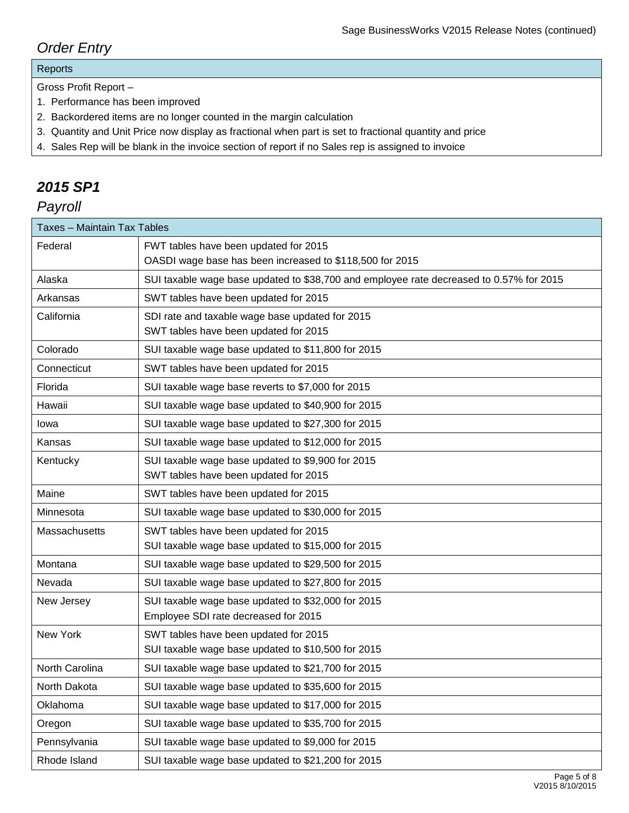## *Order Entry*

### Reports

Gross Profit Report –

- 1. Performance has been improved
- 2. Backordered items are no longer counted in the margin calculation
- 3. Quantity and Unit Price now display as fractional when part is set to fractional quantity and price
- 4. Sales Rep will be blank in the invoice section of report if no Sales rep is assigned to invoice

## *2015 SP1*

## *Payroll*

| Taxes - Maintain Tax Tables |                                                                                         |  |
|-----------------------------|-----------------------------------------------------------------------------------------|--|
| Federal                     | FWT tables have been updated for 2015                                                   |  |
|                             | OASDI wage base has been increased to \$118,500 for 2015                                |  |
| Alaska                      | SUI taxable wage base updated to \$38,700 and employee rate decreased to 0.57% for 2015 |  |
| Arkansas                    | SWT tables have been updated for 2015                                                   |  |
| California                  | SDI rate and taxable wage base updated for 2015                                         |  |
|                             | SWT tables have been updated for 2015                                                   |  |
| Colorado                    | SUI taxable wage base updated to \$11,800 for 2015                                      |  |
| Connecticut                 | SWT tables have been updated for 2015                                                   |  |
| Florida                     | SUI taxable wage base reverts to \$7,000 for 2015                                       |  |
| Hawaii                      | SUI taxable wage base updated to \$40,900 for 2015                                      |  |
| lowa                        | SUI taxable wage base updated to \$27,300 for 2015                                      |  |
| Kansas                      | SUI taxable wage base updated to \$12,000 for 2015                                      |  |
| Kentucky                    | SUI taxable wage base updated to \$9,900 for 2015                                       |  |
|                             | SWT tables have been updated for 2015                                                   |  |
| Maine                       | SWT tables have been updated for 2015                                                   |  |
| Minnesota                   | SUI taxable wage base updated to \$30,000 for 2015                                      |  |
| Massachusetts               | SWT tables have been updated for 2015                                                   |  |
|                             | SUI taxable wage base updated to \$15,000 for 2015                                      |  |
| Montana                     | SUI taxable wage base updated to \$29,500 for 2015                                      |  |
| Nevada                      | SUI taxable wage base updated to \$27,800 for 2015                                      |  |
| New Jersey                  | SUI taxable wage base updated to \$32,000 for 2015                                      |  |
|                             | Employee SDI rate decreased for 2015                                                    |  |
| New York                    | SWT tables have been updated for 2015                                                   |  |
|                             | SUI taxable wage base updated to \$10,500 for 2015                                      |  |
| North Carolina              | SUI taxable wage base updated to \$21,700 for 2015                                      |  |
| North Dakota                | SUI taxable wage base updated to \$35,600 for 2015                                      |  |
| Oklahoma                    | SUI taxable wage base updated to \$17,000 for 2015                                      |  |
| Oregon                      | SUI taxable wage base updated to \$35,700 for 2015                                      |  |
| Pennsylvania                | SUI taxable wage base updated to \$9,000 for 2015                                       |  |
| Rhode Island                | SUI taxable wage base updated to \$21,200 for 2015                                      |  |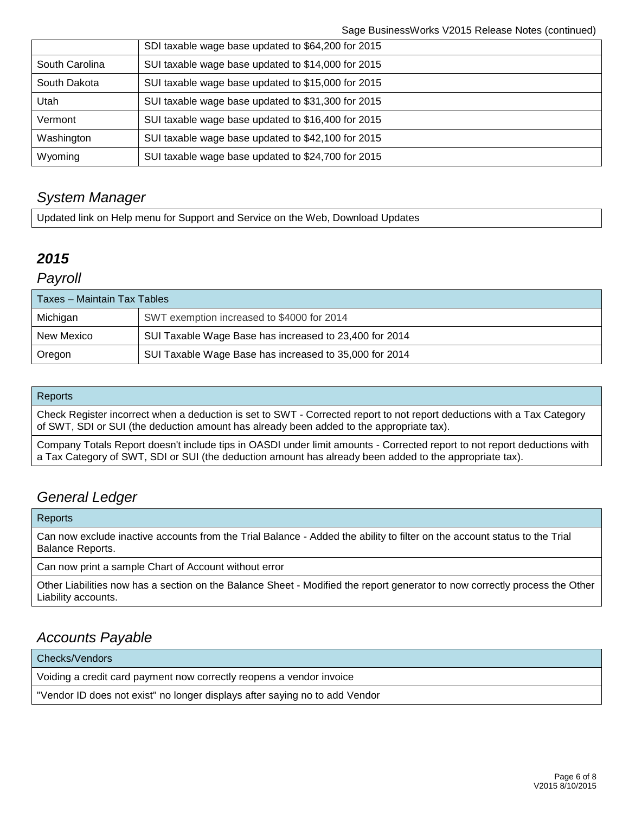|                | SDI taxable wage base updated to \$64,200 for 2015 |
|----------------|----------------------------------------------------|
| South Carolina | SUI taxable wage base updated to \$14,000 for 2015 |
| South Dakota   | SUI taxable wage base updated to \$15,000 for 2015 |
| Utah           | SUI taxable wage base updated to \$31,300 for 2015 |
| Vermont        | SUI taxable wage base updated to \$16,400 for 2015 |
| Washington     | SUI taxable wage base updated to \$42,100 for 2015 |
| Wyoming        | SUI taxable wage base updated to \$24,700 for 2015 |

## *System Manager*

Updated link on Help menu for Support and Service on the Web, Download Updates

## *2015*

### *Payroll*

| Taxes – Maintain Tax Tables |                                                        |
|-----------------------------|--------------------------------------------------------|
| Michigan                    | SWT exemption increased to \$4000 for 2014             |
| New Mexico                  | SUI Taxable Wage Base has increased to 23,400 for 2014 |
| Oregon                      | SUI Taxable Wage Base has increased to 35,000 for 2014 |

### **Reports**

Check Register incorrect when a deduction is set to SWT - Corrected report to not report deductions with a Tax Category of SWT, SDI or SUI (the deduction amount has already been added to the appropriate tax).

Company Totals Report doesn't include tips in OASDI under limit amounts - Corrected report to not report deductions with a Tax Category of SWT, SDI or SUI (the deduction amount has already been added to the appropriate tax).

## *General Ledger*

#### **Reports**

Can now exclude inactive accounts from the Trial Balance - Added the ability to filter on the account status to the Trial Balance Reports.

Can now print a sample Chart of Account without error

Other Liabilities now has a section on the Balance Sheet - Modified the report generator to now correctly process the Other Liability accounts.

## *Accounts Payable*

Checks/Vendors

Voiding a credit card payment now correctly reopens a vendor invoice

"Vendor ID does not exist" no longer displays after saying no to add Vendor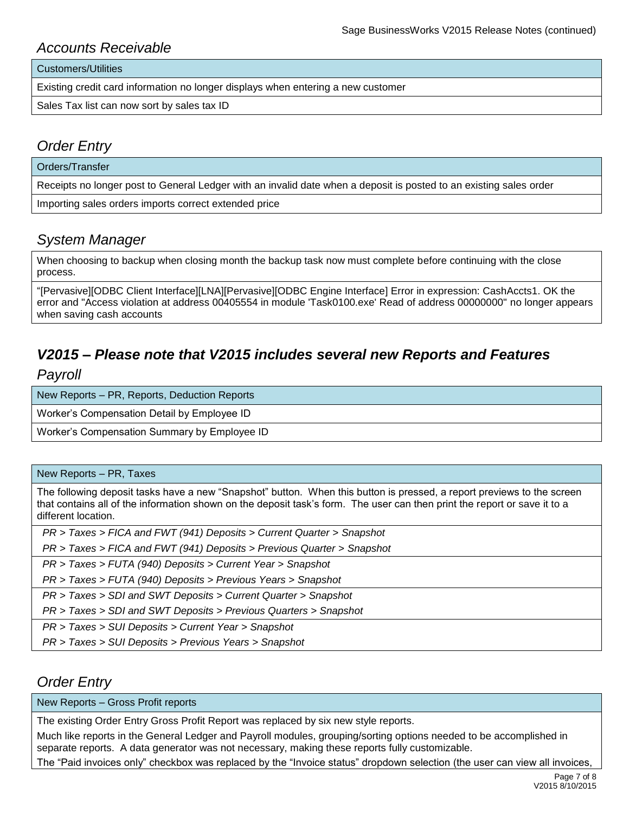### *Accounts Receivable*

Customers/Utilities

Existing credit card information no longer displays when entering a new customer

Sales Tax list can now sort by sales tax ID

## *Order Entry*

Orders/Transfer

Receipts no longer post to General Ledger with an invalid date when a deposit is posted to an existing sales order

Importing sales orders imports correct extended price

## *System Manager*

When choosing to backup when closing month the backup task now must complete before continuing with the close process.

"[Pervasive][ODBC Client Interface][LNA][Pervasive][ODBC Engine Interface] Error in expression: CashAccts1. OK the error and "Access violation at address 00405554 in module 'Task0100.exe' Read of address 00000000" no longer appears when saving cash accounts

## *V2015 – Please note that V2015 includes several new Reports and Features Payroll*

New Reports – PR, Reports, Deduction Reports

Worker's Compensation Detail by Employee ID

Worker's Compensation Summary by Employee ID

#### New Reports – PR, Taxes

The following deposit tasks have a new "Snapshot" button. When this button is pressed, a report previews to the screen that contains all of the information shown on the deposit task's form. The user can then print the report or save it to a different location.

*PR > Taxes > FICA and FWT (941) Deposits > Current Quarter > Snapshot*

*PR > Taxes > FICA and FWT (941) Deposits > Previous Quarter > Snapshot*

*PR > Taxes > FUTA (940) Deposits > Current Year > Snapshot*

*PR > Taxes > FUTA (940) Deposits > Previous Years > Snapshot*

*PR > Taxes > SDI and SWT Deposits > Current Quarter > Snapshot*

*PR > Taxes > SDI and SWT Deposits > Previous Quarters > Snapshot*

*PR > Taxes > SUI Deposits > Current Year > Snapshot*

*PR > Taxes > SUI Deposits > Previous Years > Snapshot*

## *Order Entry*

New Reports – Gross Profit reports

The existing Order Entry Gross Profit Report was replaced by six new style reports.

Much like reports in the General Ledger and Payroll modules, grouping/sorting options needed to be accomplished in separate reports. A data generator was not necessary, making these reports fully customizable.

The "Paid invoices only" checkbox was replaced by the "Invoice status" dropdown selection (the user can view all invoices,